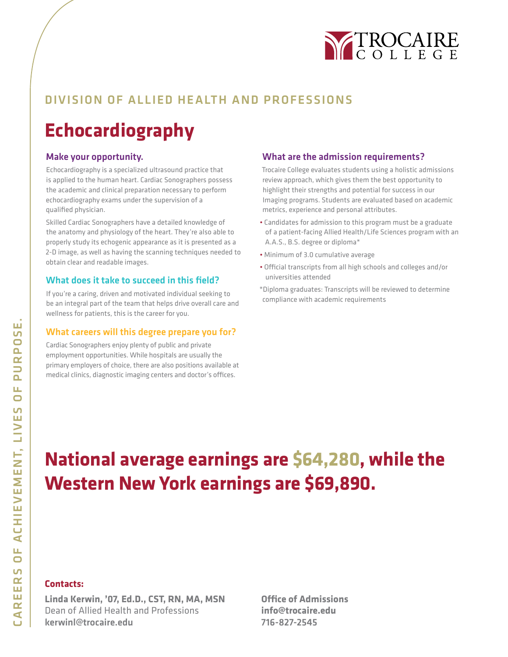

## DIVISION OF ALLIED HEALTH AND PROFESSIONS

## **Echocardiography**

#### Make your opportunity.

Echocardiography is a specialized ultrasound practice that is applied to the human heart. Cardiac Sonographers possess the academic and clinical preparation necessary to perform echocardiography exams under the supervision of a qualified physician.

Skilled Cardiac Sonographers have a detailed knowledge of the anatomy and physiology of the heart. They're also able to properly study its echogenic appearance as it is presented as a 2-D image, as well as having the scanning techniques needed to obtain clear and readable images.

#### What does it take to succeed in this field?

If you're a caring, driven and motivated individual seeking to be an integral part of the team that helps drive overall care and wellness for patients, this is the career for you.

#### What careers will this degree prepare you for?

Cardiac Sonographers enjoy plenty of public and private employment opportunities. While hospitals are usually the primary employers of choice, there are also positions available at medical clinics, diagnostic imaging centers and doctor's offices.

#### What are the admission requirements?

Trocaire College evaluates students using a holistic admissions review approach, which gives them the best opportunity to highlight their strengths and potential for success in our Imaging programs. Students are evaluated based on academic metrics, experience and personal attributes.

- Candidates for admission to this program must be a graduate of a patient-facing Allied Health/Life Sciences program with an A.A.S., B.S. degree or diploma\*
- Minimum of 3.0 cumulative average
- Official transcripts from all high schools and colleges and/or universities attended
- \*Diploma graduates: Transcripts will be reviewed to determine compliance with academic requirements

# **National average earnings are \$64,280, while the Western New York earnings are \$69,890.**

#### **Contacts:**

**Linda Kerwin, '07, Ed.D., CST, RN, MA, MSN** Dean of Allied Health and Professions kerwinl@trocaire.edu

**Office of Admissions info@trocaire.edu** 716-827-2545